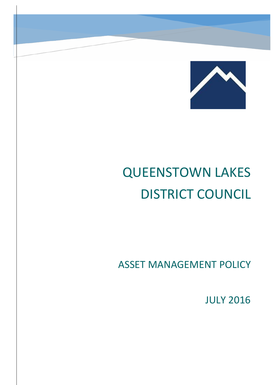

# QUEENSTOWN LAKES DISTRICT COUNCIL

ASSET MANAGEMENT POLICY

JULY 2016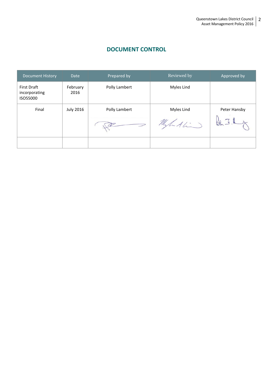# **DOCUMENT CONTROL**

| <b>Document History</b>                         | <b>Date</b>      | Prepared by   | Reviewed by | Approved by  |
|-------------------------------------------------|------------------|---------------|-------------|--------------|
| <b>First Draft</b><br>incorporating<br>ISO55000 | February<br>2016 | Polly Lambert | Myles Lind  |              |
| Final                                           | <b>July 2016</b> | Polly Lambert | Myles Lind  | Peter Hansby |
|                                                 |                  |               | Miludio     |              |
|                                                 |                  |               |             |              |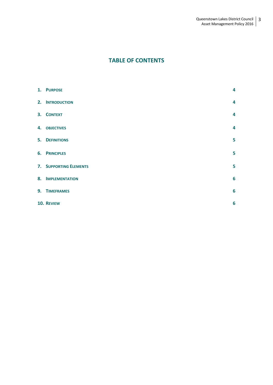# **TABLE OF CONTENTS**

| 1. PURPOSE                    | 4                       |
|-------------------------------|-------------------------|
| 2. INTRODUCTION               | $\overline{\mathbf{4}}$ |
| 3. CONTEXT                    | $\overline{\mathbf{4}}$ |
| 4. OBJECTIVES                 | $\overline{\mathbf{4}}$ |
| <b>5. DEFINITIONS</b>         | 5                       |
| <b>6. PRINCIPLES</b>          | 5                       |
| <b>7. SUPPORTING ELEMENTS</b> | 5                       |
| 8. IMPLEMENTATION             | 6                       |
| 9. TIMEFRAMES                 | $6\phantom{1}6$         |
| 10. REVIEW                    | $6\phantom{1}6$         |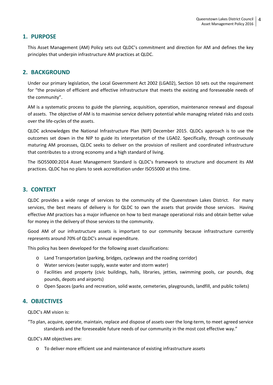## **1. PURPOSE**

This Asset Management (AM) Policy sets out QLDC's commitment and direction for AM and defines the key principles that underpin infrastructure AM practices at QLDC.

# **2. BACKGROUND**

Under our primary legislation, the Local Government Act 2002 (LGA02), Section 10 sets out the requirement for "the provision of efficient and effective infrastructure that meets the existing and foreseeable needs of the community".

AM is a systematic process to guide the planning, acquisition, operation, maintenance renewal and disposal of assets. The objective of AM is to maximise service delivery potential while managing related risks and costs over the life-cycles of the assets.

QLDC acknowledges the National Infrastructure Plan (NIP) December 2015. QLDCs approach is to use the outcomes set down in the NIP to guide its interpretation of the LGA02. Specifically, through continuously maturing AM processes, QLDC seeks to deliver on the provision of resilient and coordinated infrastructure that contributes to a strong economy and a high standard of living.

The ISO55000:2014 Asset Management Standard is QLDC's framework to structure and document its AM practices. QLDC has no plans to seek accreditation under ISO55000 at this time.

#### **3. CONTEXT**

QLDC provides a wide range of services to the community of the Queenstown Lakes District. For many services, the best means of delivery is for QLDC to own the assets that provide those services. Having effective AM practices has a major influence on how to best manage operational risks and obtain better value for money in the delivery of those services to the community.

Good AM of our infrastructure assets is important to our community because infrastructure currently represents around 70% of QLDC's annual expenditure.

This policy has been developed for the following asset classifications:

- o Land Transportation (parking, bridges, cycleways and the roading corridor)
- o Water services (water supply, waste water and storm water)
- o Facilities and property (civic buildings, halls, libraries, jetties, swimming pools, car pounds, dog pounds, depots and airports)
- o Open Spaces (parks and recreation, solid waste, cemeteries, playgrounds, landfill, and public toilets)

### **4. OBJECTIVES**

QLDC's AM vision is:

"To plan, acquire, operate, maintain, replace and dispose of assets over the long-term, to meet agreed service standards and the foreseeable future needs of our community in the most cost effective way."

QLDC's AM objectives are:

o To deliver more efficient use and maintenance of existing infrastructure assets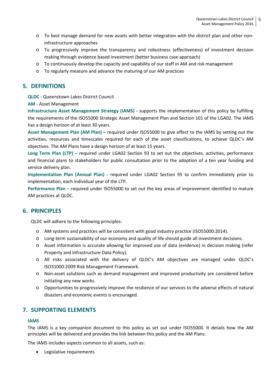- o To best manage demand for new assets with better integration with the district plan and other noninfrastructure approaches
- o To progressively improve the transparency and robustness (effectiveness) of investment decision making through evidence based investment (better business case approach)
- $\circ$  To continuously develop the capacity and capability of our staff in AM and risk management
- o To regularly measure and advance the maturing of our AM practices

# **5. DEFINITIONS**

**QLDC -** Queenstown Lakes District Council

**AM -** Asset Management

**Infrastructure Asset Management Strategy (IAMS) -** supports the implementation of this policy by fulfilling the requirements of the ISO55000 Strategic Asset Management Plan and Section 101 of the LGA02. The IAMS has a design horizon of at least 30 years.

**Asset Management Plan (AM Plan) –** required under ISO55000 to give effect to the IAMS by setting out the activities, resources and timescales required for each of the asset classifications, to achieve QLDC's AM objectives. The AM Plans have a design horizon of at least 15 years.

**Long Term Plan (LTP) –** required under LGA02 Section 93 to set out the objectives, activities, performance and financial plans to stakeholders for public consultation prior to the adoption of a ten year funding and service delivery plan.

**Implementation Plan (Annual Plan) -** required under LGA02 Section 95 to confirm immediately prior to implementation, each individual year of the LTP.

**Performance Plan –** required under ISO55000 to set out the key areas of improvement identified to mature AM practices at QLDC.

# **6. PRINCIPLES**

QLDC will adhere to the following principles:

- o AM systems and practices will be consistent with good industry practice (ISO55000:2014).
- o Long-term sustainability of our economy and quality of life should guide all investment decisions.
- o Asset information is accurate allowing for improved use of data (evidence) in decision making (refer Property and Infrastructure Data Policy).
- o All risks associated with the delivery of QLDC's AM objectives are managed under QLDC's ISO31000:2009 Risk Management Framework.
- o Non-asset solutions such as demand management and improved productivity are considered before initiating any new works.
- o Opportunities to progressively improve the resilience of our services to the adverse effects of natural disasters and economic events is encouraged.

# **7. SUPPORTING ELEMENTS**

#### **IAMS**

The IAMS is a key companion document to this policy as set out under ISO55000. It details how the AM principles will be delivered and provides the link between this policy and the AM Plans.

The IAMS includes aspects common to all assets, such as:

• Legislative requirements